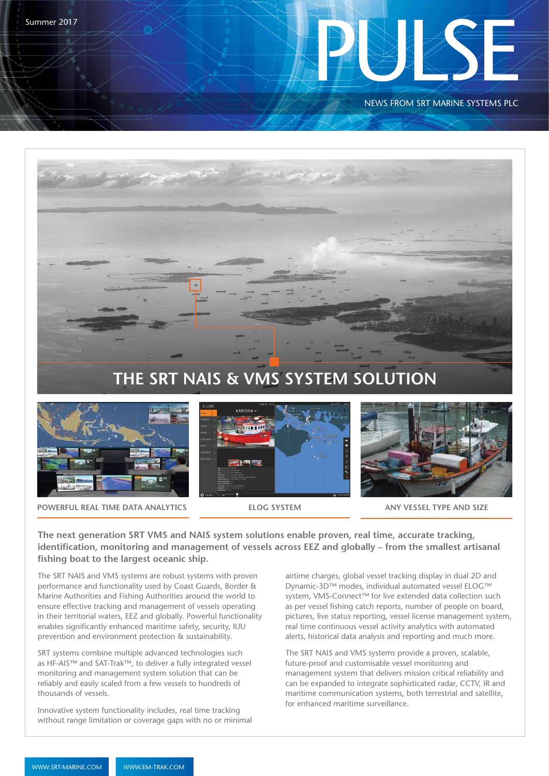

NEWS FROM SRT MARINE SYSTEMS PLC





**POWERFUL REAL TIME DATA ANALYTICS <b>ELOG SYSTEM ANY VESSEL TYPE AND SIZE** 







**The next generation SRT VMS and NAIS system solutions enable proven, real time, accurate tracking, identification, monitoring and management of vessels across EEZ and globally – from the smallest artisanal fishing boat to the largest oceanic ship.**

The SRT NAIS and VMS systems are robust systems with proven performance and functionality used by Coast Guards, Border & Marine Authorities and Fishing Authorities around the world to ensure effective tracking and management of vessels operating in their territorial waters, EEZ and globally. Powerful functionality enables significantly enhanced maritime safety, security, IUU prevention and environment protection & sustainability.

SRT systems combine multiple advanced technologies such as HF-AIS™ and SAT-Trak™, to deliver a fully integrated vessel monitoring and management system solution that can be reliably and easily scaled from a few vessels to hundreds of thousands of vessels.

Innovative system functionality includes, real time tracking without range limitation or coverage gaps with no or minimal airtime charges, global vessel tracking display in dual 2D and Dynamic-3D™ modes, individual automated vessel ELOG™ system, VMS-Connect™ for live extended data collection such as per vessel fishing catch reports, number of people on board, pictures, live status reporting, vessel license management system, real time continuous vessel activity analytics with automated alerts, historical data analysis and reporting and much more.

The SRT NAIS and VMS systems provide a proven, scalable, future-proof and customisable vessel monitoring and management system that delivers mission critical reliability and can be expanded to integrate sophisticated radar, CCTV, IR and maritime communication systems, both terrestrial and satellite, for enhanced maritime surveillance.